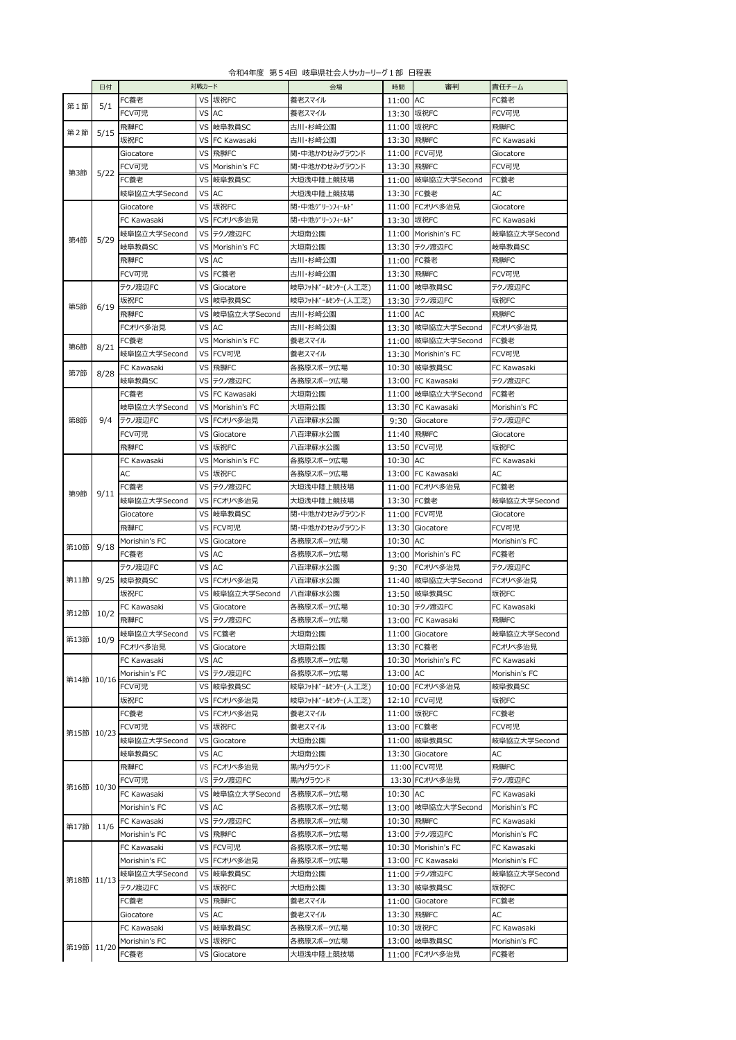|  |  |  | 令和4年度 第54回 岐阜県社会人サッカーリーグ1部 日程表 |  |
|--|--|--|--------------------------------|--|
|--|--|--|--------------------------------|--|

|            | 日付                      |               | 対戦カード |                  | 会場                | 時間       | 審判                  | 責任チーム         |
|------------|-------------------------|---------------|-------|------------------|-------------------|----------|---------------------|---------------|
|            |                         | FC養老          |       | VS 坂祝FC          | 養老スマイル            | 11:00 AC |                     | FC養老          |
| 第1節        | 5/1                     | FCV可児         |       | VS AC            | 養老スマイル            |          | 13:30 坂祝FC          | FCV可児         |
|            |                         | 飛騨FC          |       | VS 岐阜教員SC        | 古川・杉崎公園           |          | 11:00 坂祝FC          | 飛騨FC          |
| 第2節        | 5/15                    |               |       |                  |                   |          |                     |               |
|            |                         | 坂祝FC          |       | VS FC Kawasaki   | 古川・杉崎公園           |          | 13:30 飛騨FC          | FC Kawasaki   |
| 第3節        |                         | Giocatore     | VS I  | 飛騨FC             | 関・中池かわせみグラウンド     |          | 11:00 FCV可児         | Giocatore     |
|            |                         | FCV可児         |       | VS Morishin's FC | 関・中池かわせみグラウンド     |          | 13:30 飛騨FC          | FCV可児         |
|            | 5/22                    | FC養老          |       | VS 岐阜教員SC        | 大垣浅中陸上競技場         |          | 11:00 岐阜協立大学Second  | FC養老          |
|            |                         | 岐阜協立大学Second  |       | VS AC            | 大垣浅中陸上競技場         |          | 13:30 FC養老          | AC            |
|            |                         |               |       |                  |                   |          |                     |               |
|            |                         | Giocatore     |       | VS 坂祝FC          | 関・中池グリーンフィールド     |          | 11:00 FCオリベ多治見      | Giocatore     |
| 第4節        |                         | FC Kawasaki   |       | VS FCオリベ多治見      | 関・中池グリーンフィールド     | 13:30    | 坂祝FC                | FC Kawasaki   |
|            |                         | 岐阜協立大学Second  |       | VS テクノ渡辺FC       | 大垣南公園             |          | 11:00 Morishin's FC | 岐阜協立大学Second  |
|            | 5/29                    | 岐阜教員SC        | VS    | Morishin's FC    | 大垣南公園             |          | 13:30 テクノ渡辺FC       | 岐阜教員SC        |
|            |                         | 飛騨FC          |       | VS AC            | 古川・杉崎公園           |          | 11:00 FC養老          | 飛騨FC          |
|            |                         |               |       |                  |                   |          |                     |               |
|            |                         | FCV可児         | VS    | FC養老             | 古川・杉崎公園           |          | 13:30 飛騨FC          | FCV可児         |
|            |                         | テクノ渡辺FC       | VS    | Giocatore        | 岐阜フットボールセンター(人工芝) |          | 11:00 岐阜教員SC        | テクノ渡辺FC       |
| 第5節        |                         | 坂祝FC          |       | VS 岐阜教員SC        | 岐阜フットボールセンター(人工芝) | 13:30    | テクノ渡辺FC             | 坂祝FC          |
|            | 6/19                    | 飛騨FC          |       | VS 岐阜協立大学Second  | 古川・杉崎公園           | 11:00 AC |                     | 飛騨FC          |
|            |                         | FCオリベ多治見      |       | VS AC            | 古川・杉崎公園           | 13:30    | 岐阜協立大学Second        | FCオリベ多治見      |
|            |                         |               |       |                  |                   | 11:00    |                     |               |
| 第6節        | 8/21                    | FC養老          |       | VS Morishin's FC | 養老スマイル            |          | 岐阜協立大学Second        | FC養老          |
|            |                         | 岐阜協立大学Second  |       | VS FCV可児         | 養老スマイル            | 13:30    | Morishin's FC       | FCV可児         |
| 第7節        | 8/28                    | FC Kawasaki   |       | VS 飛騨FC          | 各務原スポーツ広場         |          | 10:30 岐阜教員SC        | FC Kawasaki   |
|            |                         | 岐阜教員SC        |       | VS テクノ渡辺FC       | 各務原スポーツ広場         | 13:00    | FC Kawasaki         | テクノ渡辺FC       |
|            |                         | FC養老          |       | VS FC Kawasaki   | 大垣南公園             | 11:00    | 岐阜協立大学Second        | FC養老          |
|            |                         | 岐阜協立大学Second  |       | VS Morishin's FC | 大垣南公園             | 13:30    | FC Kawasaki         | Morishin's FC |
| 第8節        | 9/4                     | テクノ渡辺FC       |       | VS FCオリベ多治見      | 八百津蘇水公園           | 9:30     | Giocatore           | テクノ渡辺FC       |
|            |                         |               |       |                  |                   |          |                     |               |
|            |                         | FCV可児         | VS    | Giocatore        | 八百津蘇水公園           | 11:40    | 飛騨FC                | Giocatore     |
|            |                         | 飛騨FC          |       | VS 坂祝FC          | 八百津蘇水公園           | 13:50    | FCV可児               | 坂祝FC          |
|            |                         | FC Kawasaki   |       | VS Morishin's FC | 各務原スポーツ広場         | 10:30    | AC                  | FC Kawasaki   |
|            |                         | AC            |       | VS 坂祝FC          | 各務原スポーツ広場         |          | 13:00 FC Kawasaki   | AC            |
|            |                         | FC養老          |       | VS テクノ渡辺FC       | 大垣浅中陸上競技場         |          | 11:00 FCオリベ多治見      | FC養老          |
| 第9節        | 9/11<br>9/18<br>10/2    | 岐阜協立大学Second  |       | VS FCオリベ多治見      | 大垣浅中陸上競技場         |          | 13:30 FC養老          | 岐阜協立大学Second  |
|            |                         |               |       |                  |                   |          |                     |               |
|            |                         | Giocatore     |       | VS 岐阜教員SC        | 関・中池かわせみグラウンド     |          | 11:00 FCV可児         | Giocatore     |
|            |                         | 飛騨FC          |       | VS FCV可児         | 関・中池かわせみグラウンド     | 13:30    | Giocatore           | FCV可児         |
| 第10節       |                         | Morishin's FC | VS    | Giocatore        | 各務原スポーツ広場         | 10:30    | AC                  | Morishin's FC |
|            |                         | FC養老          | VS    | AC               | 各務原スポーツ広場         | 13:00    | Morishin's FC       | FC養老          |
|            |                         | テクノ渡辺FC       | VS    | AC               | 八百津蘇水公園           | 9:30     | FCオリベ多治見            | テクノ渡辺FC       |
| 第11節       |                         | 9/25 岐阜教員SC   |       | VS FCオリベ多治見      | 八百津蘇水公園           | 11:40    | 岐阜協立大学Second        | FCオリベ多治見      |
|            |                         | 坂祝FC          |       | VS  岐阜協立大学Second | 八百津蘇水公園           |          | 13:50 岐阜教員SC        | 坂祝FC          |
|            |                         | FC Kawasaki   | VS    | Giocatore        | 各務原スポーツ広場         | 10:30    | テクノ渡辺FC             | FC Kawasaki   |
| 第12節       |                         |               |       |                  |                   |          |                     |               |
|            |                         | 飛騨FC          |       | VS テクノ渡辺FC       | 各務原スポーツ広場         |          | 13:00 FC Kawasaki   | 飛騨FC          |
|            | 第13節 10/9<br>第14節 10/16 | 岐阜協立大学Second  |       | VS FC養老          | 大坦南公園             |          | 11:00 Giocatore     | 岐阜協立大学Second  |
|            |                         | FCオリベ多治見      |       | VS Giocatore     | 大垣南公園             |          | 13:30 FC養老          | FCオリベ多治見      |
|            |                         | FC Kawasaki   |       | VS AC            | 各務原スポーツ広場         |          | 10:30 Morishin's FC | FC Kawasaki   |
|            |                         | Morishin's FC |       | VS テクノ渡辺FC       | 各務原スポーツ広場         | 13:00 AC |                     | Morishin's FC |
|            |                         | FCV可児         |       | VS 岐阜教員SC        | 岐阜フットボールセンター(人工芝) |          | 10:00 FCオリベ多治見      | 岐阜教員SC        |
|            |                         |               |       |                  |                   |          |                     |               |
|            |                         | 坂祝FC          |       | VS FCオリベ多治見      | 岐阜フットボールセンター(人工芝) |          | 12:10 FCV可児         | 坂祝FC          |
| 第15節 10/23 |                         | FC養老          |       | VS FCオリベ多治見      | 養老スマイル            |          | 11:00 坂祝FC          | FC養老          |
|            |                         | FCV可児         |       | VS 坂祝FC          | 養老スマイル            |          | 13:00 FC養老          | FCV可児         |
|            |                         | 岐阜協立大学Second  |       | VS Giocatore     | 大垣南公園             |          | 11:00 岐阜教員SC        | 岐阜協立大学Second  |
|            |                         | 岐阜教員SC        |       | VS AC            | 大垣南公園             |          | 13:30 Giocatore     | AC            |
|            |                         | 飛騨FC          |       | VS FCオリベ多治見      | 黒内グラウンド           |          | 11:00 FCV可児         | 飛騨FC          |
| 第16節 10/30 | 11/6                    |               |       |                  |                   |          |                     |               |
|            |                         | FCV可児         |       | VS テクノ渡辺FC       | 黒内グラウンド           |          | 13:30 FCオリベ多治見      | テクノ渡辺FC       |
|            |                         | FC Kawasaki   |       | VS  岐阜協立大学Second | 各務原スポーツ広場         | 10:30 AC |                     | FC Kawasaki   |
|            |                         | Morishin's FC |       | VS AC            | 各務原スポーツ広場         | 13:00    | 岐阜協立大学Second        | Morishin's FC |
|            |                         | FC Kawasaki   |       | VS テクノ渡辺FC       | 各務原スポーツ広場         |          | 10:30 飛騨FC          | FC Kawasaki   |
| 第17節       |                         | Morishin's FC |       | VS 飛騨FC          | 各務原スポーツ広場         |          | 13:00 テクノ渡辺FC       | Morishin's FC |
|            |                         | FC Kawasaki   |       | VS FCV可児         | 各務原スポーツ広場         |          | 10:30 Morishin's FC | FC Kawasaki   |
|            |                         |               |       |                  |                   |          |                     |               |
|            |                         | Morishin's FC |       | VS FCオリベ多治見      | 各務原スポーツ広場         |          | 13:00 FC Kawasaki   | Morishin's FC |
| 第18節 11/13 |                         | 岐阜協立大学Second  |       | VS 岐阜教員SC        | 大垣南公園             |          | 11:00 テクノ渡辺FC       | 岐阜協立大学Second  |
|            |                         | テクノ渡辺FC       |       | VS 坂祝FC          | 大垣南公園             |          | 13:30 岐阜教員SC        | 坂祝FC          |
|            |                         | FC養老          |       | VS 飛騨FC          | 養老スマイル            |          | 11:00 Giocatore     | FC養老          |
|            |                         | Giocatore     |       | VS AC            | 養老スマイル            |          | 13:30 飛騨FC          | AC            |
|            |                         | FC Kawasaki   |       | VS 岐阜教員SC        | 各務原スポーツ広場         |          | 10:30 坂祝FC          | FC Kawasaki   |
|            |                         | Morishin's FC |       | VS 坂祝FC          | 各務原スポーツ広場         | 13:00    | 岐阜教員SC              | Morishin's FC |
| 第19節 11/20 |                         |               |       |                  |                   |          |                     |               |
|            |                         | FC養老          | VS    | Giocatore        | 大垣浅中陸上競技場         | 11:00    | FCオリベ多治見            | FC養老          |